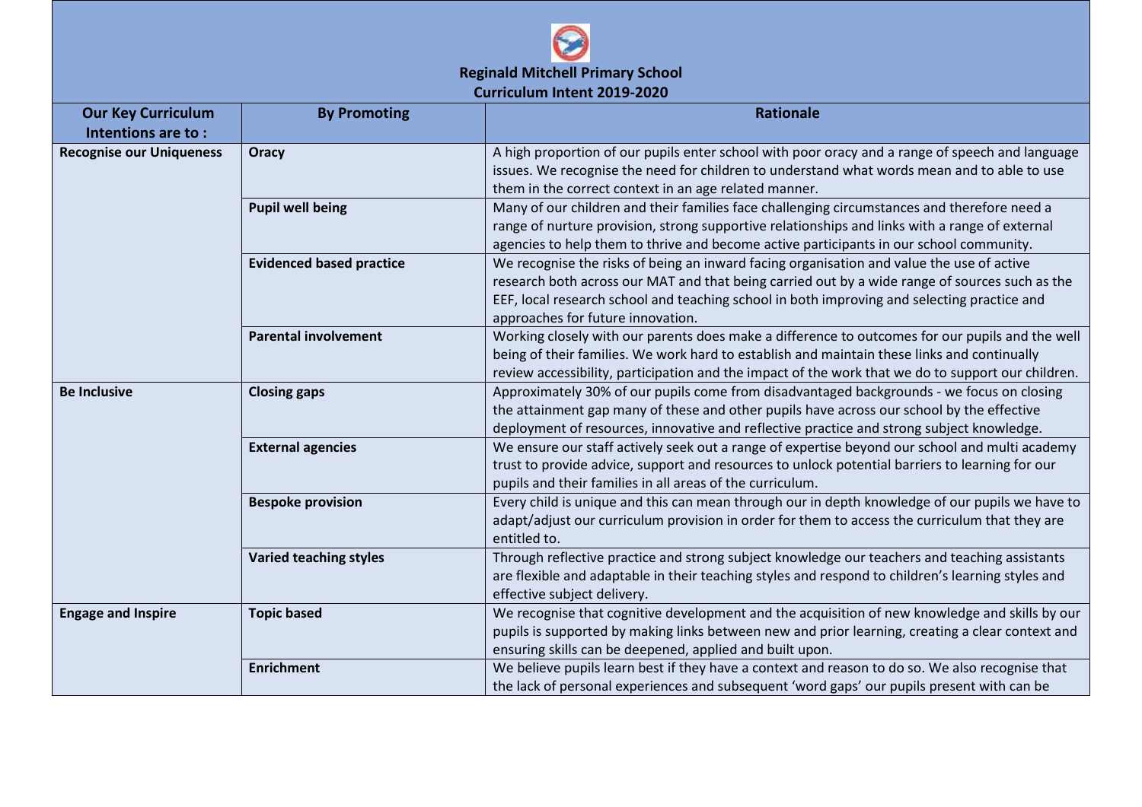

| <b>Our Key Curriculum</b>       | <b>By Promoting</b>             | <b>Rationale</b>                                                                                                                                                                                                                                                                                                                |
|---------------------------------|---------------------------------|---------------------------------------------------------------------------------------------------------------------------------------------------------------------------------------------------------------------------------------------------------------------------------------------------------------------------------|
| Intentions are to:              |                                 |                                                                                                                                                                                                                                                                                                                                 |
| <b>Recognise our Uniqueness</b> | Oracy                           | A high proportion of our pupils enter school with poor oracy and a range of speech and language<br>issues. We recognise the need for children to understand what words mean and to able to use<br>them in the correct context in an age related manner.                                                                         |
|                                 | <b>Pupil well being</b>         | Many of our children and their families face challenging circumstances and therefore need a<br>range of nurture provision, strong supportive relationships and links with a range of external<br>agencies to help them to thrive and become active participants in our school community.                                        |
|                                 | <b>Evidenced based practice</b> | We recognise the risks of being an inward facing organisation and value the use of active<br>research both across our MAT and that being carried out by a wide range of sources such as the<br>EEF, local research school and teaching school in both improving and selecting practice and<br>approaches for future innovation. |
|                                 | <b>Parental involvement</b>     | Working closely with our parents does make a difference to outcomes for our pupils and the well<br>being of their families. We work hard to establish and maintain these links and continually<br>review accessibility, participation and the impact of the work that we do to support our children.                            |
| <b>Be Inclusive</b>             | <b>Closing gaps</b>             | Approximately 30% of our pupils come from disadvantaged backgrounds - we focus on closing<br>the attainment gap many of these and other pupils have across our school by the effective<br>deployment of resources, innovative and reflective practice and strong subject knowledge.                                             |
|                                 | <b>External agencies</b>        | We ensure our staff actively seek out a range of expertise beyond our school and multi academy<br>trust to provide advice, support and resources to unlock potential barriers to learning for our<br>pupils and their families in all areas of the curriculum.                                                                  |
|                                 | <b>Bespoke provision</b>        | Every child is unique and this can mean through our in depth knowledge of our pupils we have to<br>adapt/adjust our curriculum provision in order for them to access the curriculum that they are<br>entitled to.                                                                                                               |
|                                 | <b>Varied teaching styles</b>   | Through reflective practice and strong subject knowledge our teachers and teaching assistants<br>are flexible and adaptable in their teaching styles and respond to children's learning styles and<br>effective subject delivery.                                                                                               |
| <b>Engage and Inspire</b>       | <b>Topic based</b>              | We recognise that cognitive development and the acquisition of new knowledge and skills by our<br>pupils is supported by making links between new and prior learning, creating a clear context and<br>ensuring skills can be deepened, applied and built upon.                                                                  |
|                                 | <b>Enrichment</b>               | We believe pupils learn best if they have a context and reason to do so. We also recognise that<br>the lack of personal experiences and subsequent 'word gaps' our pupils present with can be                                                                                                                                   |